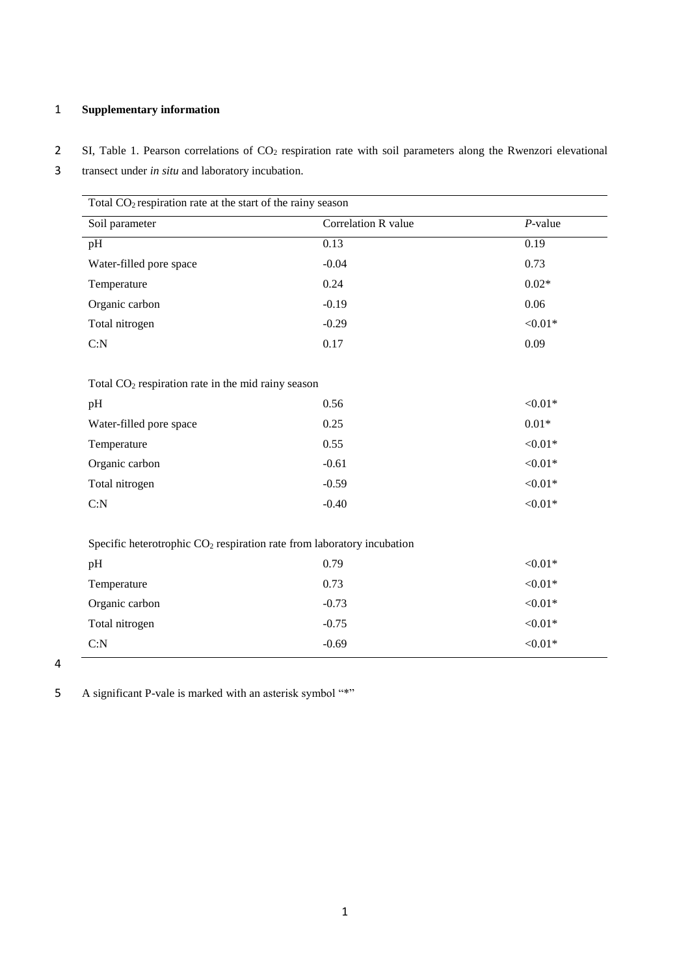## 1 **Supplementary information**

2 SI, Table 1. Pearson correlations of CO<sub>2</sub> respiration rate with soil parameters along the Rwenzori elevational

<sup>3</sup> transect under *in situ* and laboratory incubation.

| Total $CO2$ respiration rate at the start of the rainy season            |                     |            |  |  |
|--------------------------------------------------------------------------|---------------------|------------|--|--|
| Soil parameter                                                           | Correlation R value | $P$ -value |  |  |
| pH                                                                       | 0.13                | 0.19       |  |  |
| Water-filled pore space                                                  | $-0.04$             | 0.73       |  |  |
| Temperature                                                              | 0.24                | $0.02*$    |  |  |
| Organic carbon                                                           | $-0.19$             | 0.06       |  |  |
| Total nitrogen                                                           | $-0.29$             | ${<}0.01*$ |  |  |
| C: N                                                                     | 0.17                | 0.09       |  |  |
|                                                                          |                     |            |  |  |
| Total $CO2$ respiration rate in the mid rainy season                     |                     |            |  |  |
| pH                                                                       | 0.56                | ${<}0.01*$ |  |  |
| Water-filled pore space                                                  | 0.25                | $0.01*$    |  |  |
| Temperature                                                              | 0.55                | ${<}0.01*$ |  |  |
| Organic carbon                                                           | $-0.61$             | ${<}0.01*$ |  |  |
| Total nitrogen                                                           | $-0.59$             | ${<}0.01*$ |  |  |
| C: N                                                                     | $-0.40$             | ${<}0.01*$ |  |  |
|                                                                          |                     |            |  |  |
| Specific heterotrophic $CO2$ respiration rate from laboratory incubation |                     |            |  |  |
| pH                                                                       | 0.79                | ${<}0.01*$ |  |  |
| Temperature                                                              | 0.73                | ${<}0.01*$ |  |  |
| Organic carbon                                                           | $-0.73$             | ${<}0.01*$ |  |  |
| Total nitrogen                                                           | $-0.75$             | ${<}0.01*$ |  |  |
| C: N                                                                     | $-0.69$             | ${<}0.01*$ |  |  |

4

5 A significant P-vale is marked with an asterisk symbol "\*"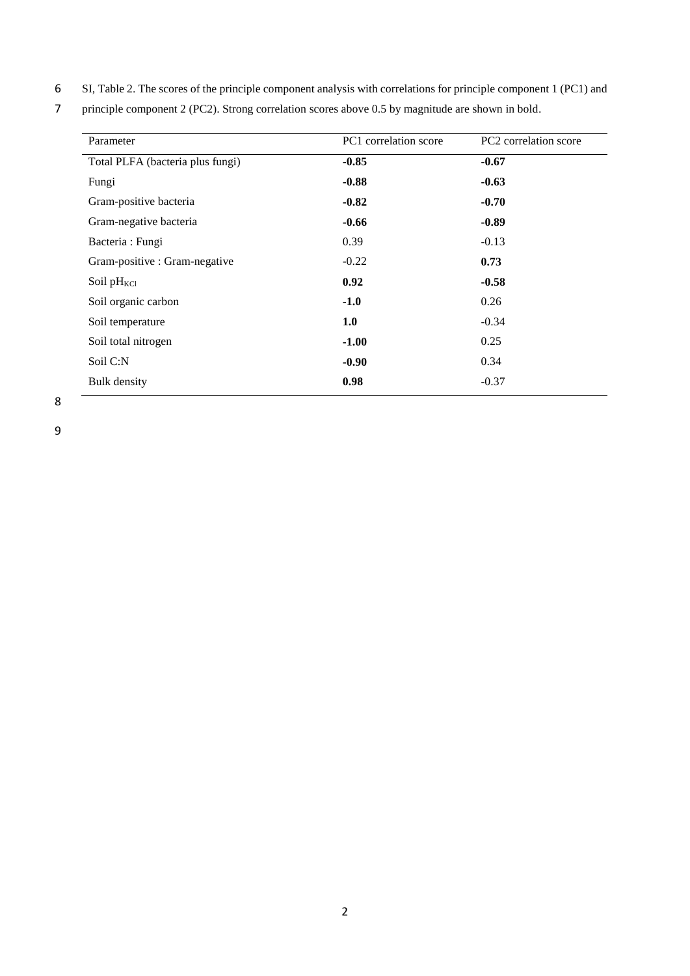- 6 SI, Table 2. The scores of the principle component analysis with correlations for principle component 1 (PC1) and
- 7 principle component 2 (PC2). Strong correlation scores above 0.5 by magnitude are shown in bold.

| Parameter                        | PC1 correlation score | PC2 correlation score |
|----------------------------------|-----------------------|-----------------------|
| Total PLFA (bacteria plus fungi) | $-0.85$               | $-0.67$               |
| Fungi                            | $-0.88$               | $-0.63$               |
| Gram-positive bacteria           | $-0.82$               | $-0.70$               |
| Gram-negative bacteria           | $-0.66$               | $-0.89$               |
| Bacteria : Fungi                 | 0.39                  | $-0.13$               |
| Gram-positive : Gram-negative    | $-0.22$               | 0.73                  |
| Soil $pH_{\text{KCl}}$           | 0.92                  | $-0.58$               |
| Soil organic carbon              | $-1.0$                | 0.26                  |
| Soil temperature                 | 1.0                   | $-0.34$               |
| Soil total nitrogen              | $-1.00$               | 0.25                  |
| Soil C:N                         | $-0.90$               | 0.34                  |
| <b>Bulk</b> density              | 0.98                  | $-0.37$               |

8

9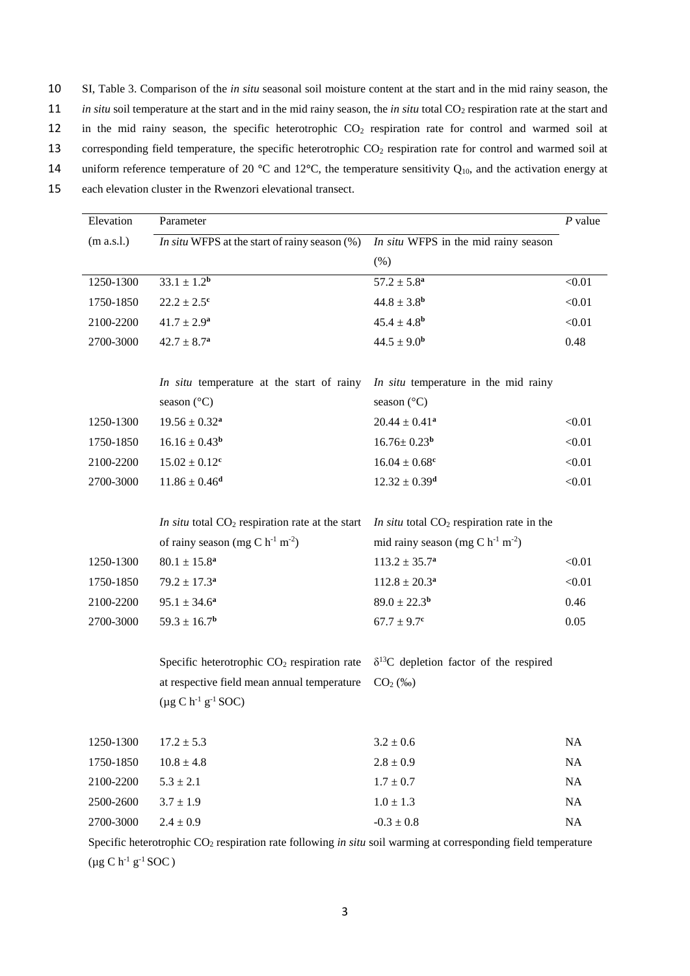- 10 SI, Table 3. Comparison of the *in situ* seasonal soil moisture content at the start and in the mid rainy season, the
- 11 *in situ* soil temperature at the start and in the mid rainy season, the *in situ* total CO<sub>2</sub> respiration rate at the start and
- 12 in the mid rainy season, the specific heterotrophic CO<sub>2</sub> respiration rate for control and warmed soil at
- 13 corresponding field temperature, the specific heterotrophic  $CO<sub>2</sub>$  respiration rate for control and warmed soil at
- 14 uniform reference temperature of 20  $^{\circ}$ C and 12 $^{\circ}$ C, the temperature sensitivity  $Q_{10}$ , and the activation energy at
- 15 each elevation cluster in the Rwenzori elevational transect.

| Elevation  | Parameter                                               |                                                   | $P$ value |
|------------|---------------------------------------------------------|---------------------------------------------------|-----------|
| (m a.s.l.) | In situ WFPS at the start of rainy season $(\%)$        | In situ WFPS in the mid rainy season              |           |
|            |                                                         | (% )                                              |           |
| 1250-1300  | $33.1 \pm 1.2^b$                                        | $57.2 \pm 5.8^a$                                  | < 0.01    |
| 1750-1850  | $22.2 \pm 2.5^c$                                        | $44.8 \pm 3.8$ <sup>b</sup>                       | < 0.01    |
| 2100-2200  | $41.7 \pm 2.9^a$                                        | $45.4 \pm 4.8$ <sup>b</sup>                       | < 0.01    |
| 2700-3000  | $42.7 \pm 8.7^a$                                        | $44.5 \pm 9.0^b$                                  | 0.48      |
|            | In situ temperature at the start of rainy               | In situ temperature in the mid rainy              |           |
|            | season $(^{\circ}C)$                                    | season $(^{\circ}C)$                              |           |
| 1250-1300  | $19.56 \pm 0.32^a$                                      | $20.44 \pm 0.41^a$                                | < 0.01    |
| 1750-1850  | $16.16 \pm 0.43^b$                                      | $16.76 \pm 0.23^{\rm b}$                          | < 0.01    |
| 2100-2200  | $15.02 \pm 0.12^c$                                      | $16.04 \pm 0.68^c$                                | < 0.01    |
| 2700-3000  | $11.86 \pm 0.46$ <sup>d</sup>                           | $12.32 \pm 0.39^d$                                | < 0.01    |
|            | In situ total $CO2$ respiration rate at the start       | In situ total $CO2$ respiration rate in the       |           |
|            | of rainy season (mg C $h^{-1}$ m <sup>-2</sup> )        | mid rainy season (mg C $h^{-1}$ m <sup>-2</sup> ) |           |
| 1250-1300  | $80.1 \pm 15.8^a$                                       | $113.2 \pm 35.7^a$                                | < 0.01    |
| 1750-1850  | $79.2 \pm 17.3^a$                                       | $112.8 \pm 20.3^a$                                | < 0.01    |
| 2100-2200  | $95.1 \pm 34.6^a$                                       | $89.0 \pm 22.3^{\rm b}$                           | 0.46      |
| 2700-3000  | $59.3 \pm 16.7$ <sup>b</sup>                            | $67.7 \pm 9.7$ <sup>c</sup>                       | 0.05      |
|            | Specific heterotrophic CO <sub>2</sub> respiration rate | $\delta^{13}$ C depletion factor of the respired  |           |
|            | at respective field mean annual temperature             | $CO2$ (%o)                                        |           |
|            | $(\mu g C h^{-1} g^{-1} SOC)$                           |                                                   |           |
| 1250-1300  | $17.2 \pm 5.3$                                          | $3.2 \pm 0.6$                                     | NA        |
| 1750-1850  | $10.8 \pm 4.8$                                          | $2.8 \pm 0.9$                                     | NA        |
| 2100-2200  | $5.3 \pm 2.1$                                           | $1.7 \pm 0.7$                                     | NA        |
| 2500-2600  | $3.7 \pm 1.9$                                           | $1.0 \pm 1.3$                                     | <b>NA</b> |
| 2700-3000  | $2.4 \pm 0.9$                                           | $-0.3 \pm 0.8$                                    | NA        |

Specific heterotrophic CO<sub>2</sub> respiration rate following *in situ* soil warming at corresponding field temperature  $(\mu g C h^{-1} g^{-1} SOC)$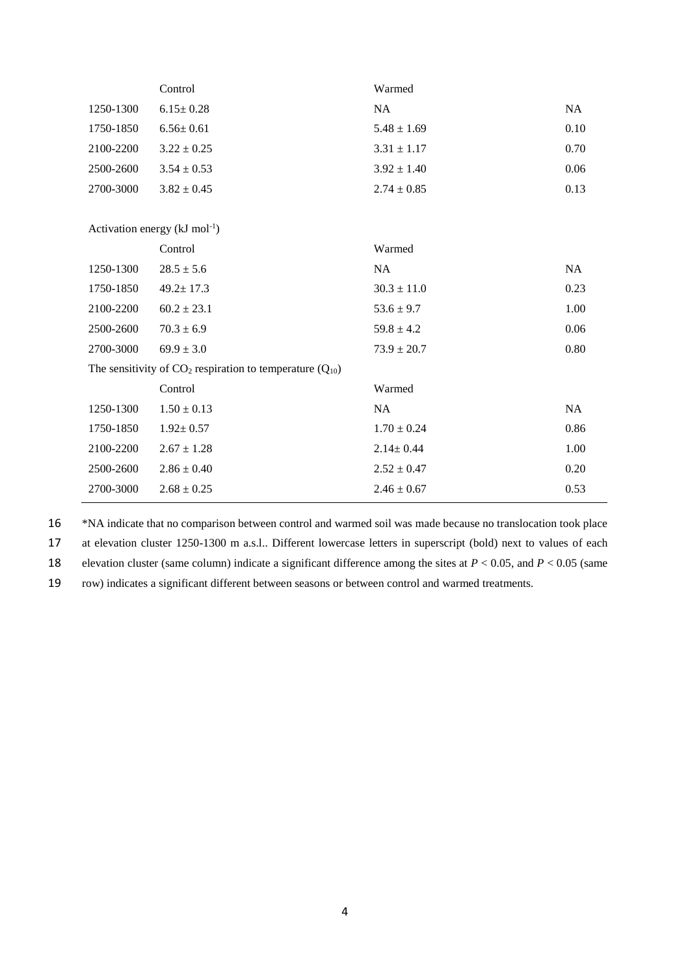|                                                                 | Control         | Warmed          |           |  |  |
|-----------------------------------------------------------------|-----------------|-----------------|-----------|--|--|
| 1250-1300                                                       | $6.15 \pm 0.28$ | <b>NA</b>       | <b>NA</b> |  |  |
| 1750-1850                                                       | $6.56 \pm 0.61$ | $5.48 \pm 1.69$ | 0.10      |  |  |
| 2100-2200                                                       | $3.22 \pm 0.25$ | $3.31 \pm 1.17$ | 0.70      |  |  |
| 2500-2600                                                       | $3.54 \pm 0.53$ | $3.92 \pm 1.40$ | 0.06      |  |  |
| 2700-3000                                                       | $3.82 \pm 0.45$ | $2.74 \pm 0.85$ | 0.13      |  |  |
|                                                                 |                 |                 |           |  |  |
| Activation energy $(kJ \text{ mol}^{-1})$                       |                 |                 |           |  |  |
|                                                                 | Control         | Warmed          |           |  |  |
| 1250-1300                                                       | $28.5 \pm 5.6$  | NA              | <b>NA</b> |  |  |
| 1750-1850                                                       | $49.2 \pm 17.3$ | $30.3 \pm 11.0$ | 0.23      |  |  |
| 2100-2200                                                       | $60.2 \pm 23.1$ | $53.6 \pm 9.7$  | 1.00      |  |  |
| 2500-2600                                                       | $70.3 \pm 6.9$  | $59.8 \pm 4.2$  | 0.06      |  |  |
| 2700-3000                                                       | $69.9 \pm 3.0$  | $73.9 \pm 20.7$ | 0.80      |  |  |
| The sensitivity of $CO_2$ respiration to temperature $(Q_{10})$ |                 |                 |           |  |  |
|                                                                 | Control         | Warmed          |           |  |  |
| 1250-1300                                                       | $1.50 \pm 0.13$ | NA              | NA        |  |  |
| 1750-1850                                                       | $1.92 \pm 0.57$ | $1.70 \pm 0.24$ | 0.86      |  |  |
| 2100-2200                                                       | $2.67 \pm 1.28$ | $2.14 \pm 0.44$ | 1.00      |  |  |
| 2500-2600                                                       | $2.86 \pm 0.40$ | $2.52 \pm 0.47$ | 0.20      |  |  |
| 2700-3000                                                       | $2.68 \pm 0.25$ | $2.46 \pm 0.67$ | 0.53      |  |  |

16 \*NA indicate that no comparison between control and warmed soil was made because no translocation took place

17 at elevation cluster 1250-1300 m a.s.l.. Different lowercase letters in superscript (bold) next to values of each

18 elevation cluster (same column) indicate a significant difference among the sites at *P* < 0.05, and *P* < 0.05 (same

19 row) indicates a significant different between seasons or between control and warmed treatments.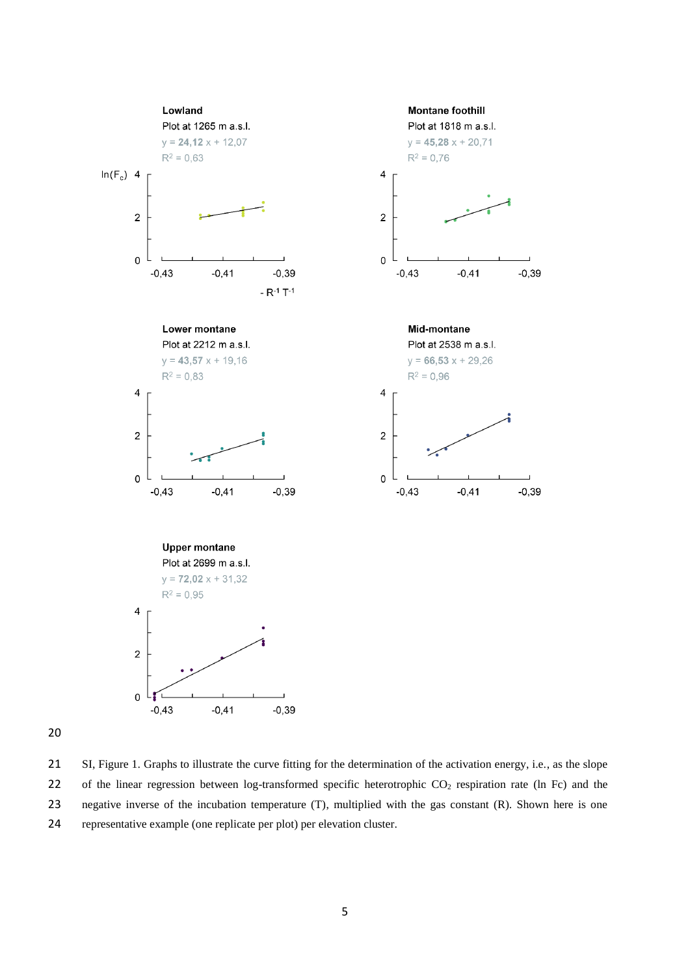

 SI, Figure 1. Graphs to illustrate the curve fitting for the determination of the activation energy, i.e., as the slope 22 of the linear regression between log-transformed specific heterotrophic  $CO_2$  respiration rate (ln Fc) and the negative inverse of the incubation temperature (T), multiplied with the gas constant (R). Shown here is one representative example (one replicate per plot) per elevation cluster.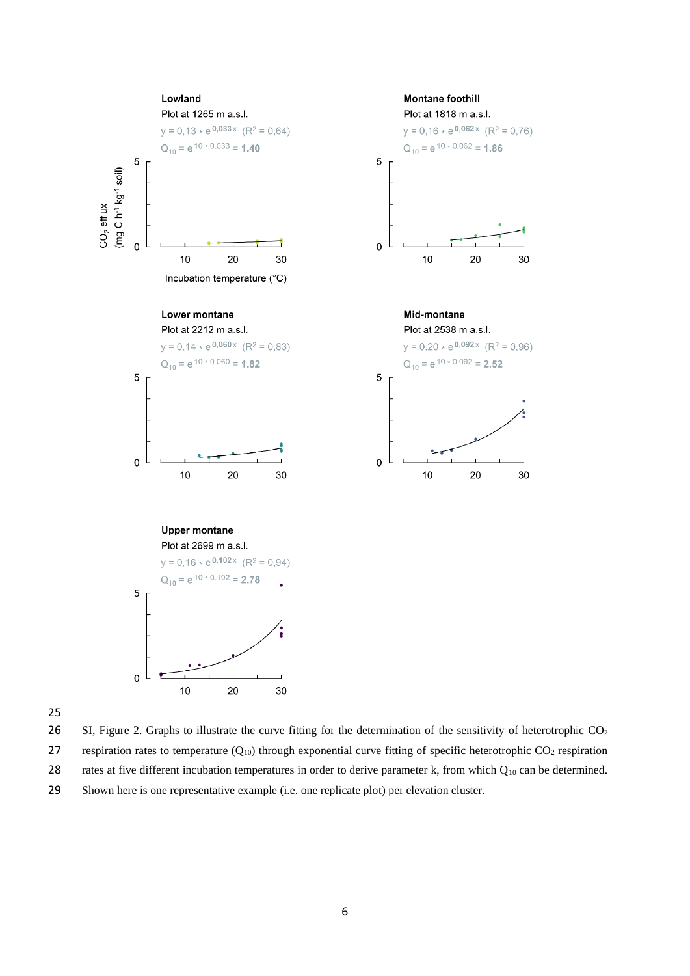

25

26 SI, Figure 2. Graphs to illustrate the curve fitting for the determination of the sensitivity of heterotrophic  $CO<sub>2</sub>$ 27 respiration rates to temperature  $(Q_{10})$  through exponential curve fitting of specific heterotrophic  $CO_2$  respiration

28 rates at five different incubation temperatures in order to derive parameter k, from which  $Q_{10}$  can be determined.

29 Shown here is one representative example (i.e. one replicate plot) per elevation cluster.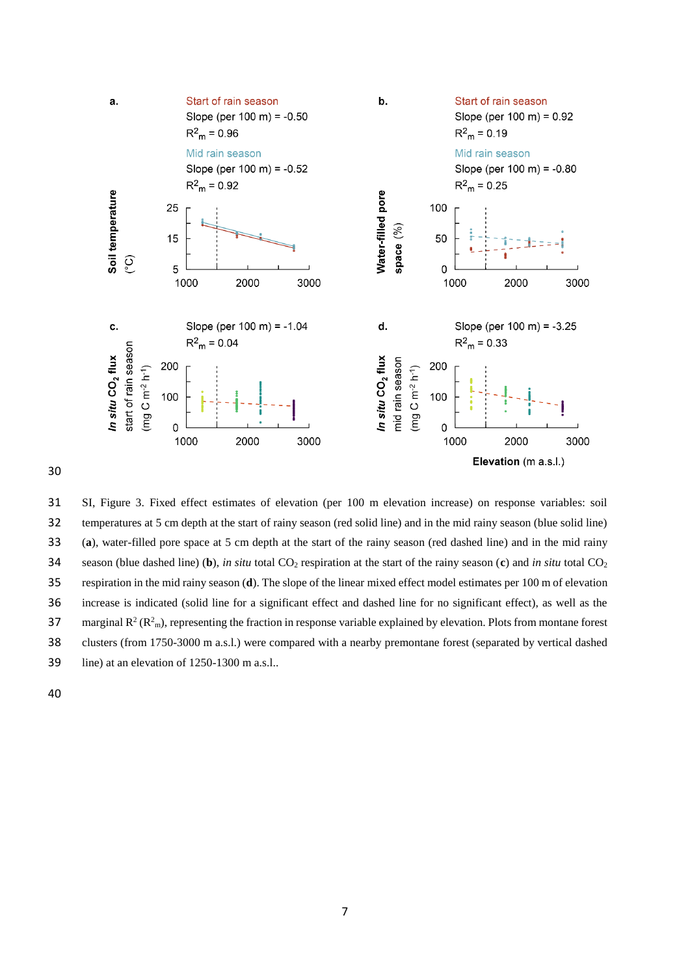

 SI, Figure 3. Fixed effect estimates of elevation (per 100 m elevation increase) on response variables: soil temperatures at 5 cm depth at the start of rainy season (red solid line) and in the mid rainy season (blue solid line) (**a**), water-filled pore space at 5 cm depth at the start of the rainy season (red dashed line) and in the mid rainy 34 season (blue dashed line) (b), *in situ* total  $CO_2$  respiration at the start of the rainy season (c) and *in situ* total  $CO_2$  respiration in the mid rainy season (**d**). The slope of the linear mixed effect model estimates per 100 m of elevation increase is indicated (solid line for a significant effect and dashed line for no significant effect), as well as the 37 marginal  $R^2 (R^2_m)$ , representing the fraction in response variable explained by elevation. Plots from montane forest clusters (from 1750-3000 m a.s.l.) were compared with a nearby premontane forest (separated by vertical dashed line) at an elevation of 1250-1300 m a.s.l..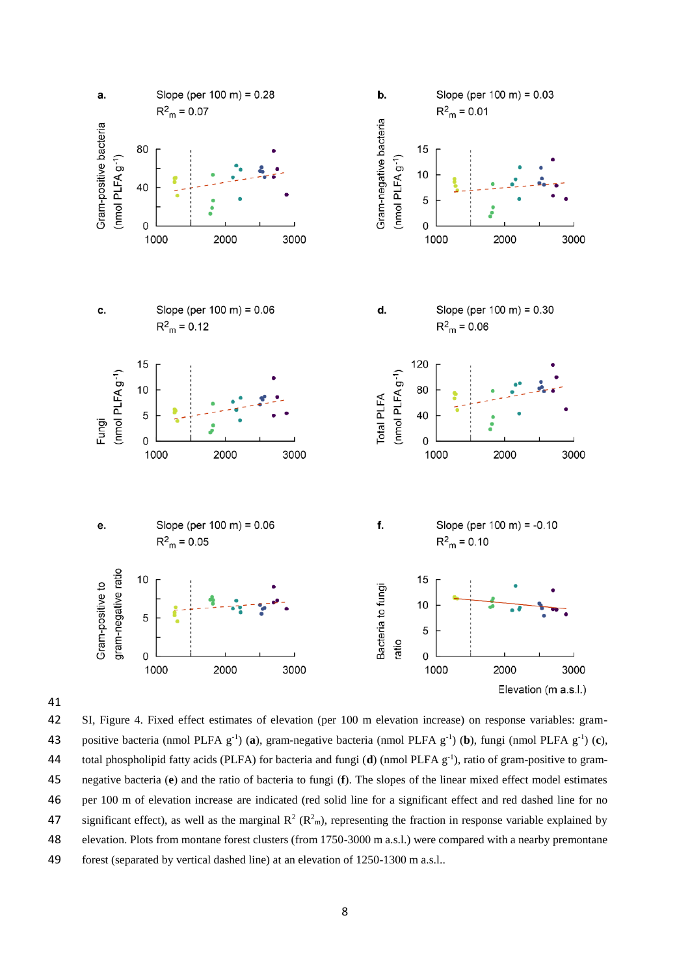



 SI, Figure 4. Fixed effect estimates of elevation (per 100 m elevation increase) on response variables: gram-43 positive bacteria (nmol PLFA  $g^{-1}$ ) (a), gram-negative bacteria (nmol PLFA  $g^{-1}$ ) (b), fungi (nmol PLFA  $g^{-1}$ ) (c), 44 total phospholipid fatty acids (PLFA) for bacteria and fungi (**d**) (nmol PLFA g<sup>-1</sup>), ratio of gram-positive to gram- negative bacteria (**e**) and the ratio of bacteria to fungi (**f**). The slopes of the linear mixed effect model estimates per 100 m of elevation increase are indicated (red solid line for a significant effect and red dashed line for no 47 significant effect), as well as the marginal  $R^2 (R^2_m)$ , representing the fraction in response variable explained by elevation. Plots from montane forest clusters (from 1750-3000 m a.s.l.) were compared with a nearby premontane forest (separated by vertical dashed line) at an elevation of 1250-1300 m a.s.l..